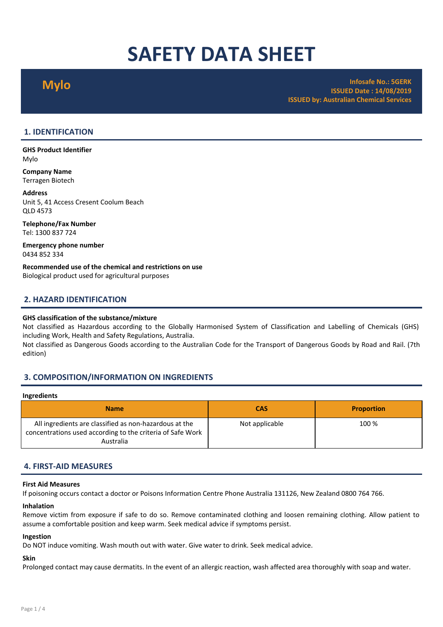# SAFETY DATA SHEET

Mylo Infosafe No.: 5GERK ISSUED Date : 14/08/2019 ISSUED by: Australian Chemical Services

# 1. IDENTIFICATION

GHS Product Identifier Mylo

Company Name Terragen Biotech

#### Address

Unit 5, 41 Access Cresent Coolum Beach QLD 4573

Telephone/Fax Number Tel: 1300 837 724

Emergency phone number 0434 852 334

Recommended use of the chemical and restrictions on use Biological product used for agricultural purposes

# 2. HAZARD IDENTIFICATION

### GHS classification of the substance/mixture

Not classified as Hazardous according to the Globally Harmonised System of Classification and Labelling of Chemicals (GHS) including Work, Health and Safety Regulations, Australia.

Not classified as Dangerous Goods according to the Australian Code for the Transport of Dangerous Goods by Road and Rail. (7th edition)

# 3. COMPOSITION/INFORMATION ON INGREDIENTS

#### Ingredients

| <b>Name</b>                                                                                                                       | <b>CAS</b>     | <b>Proportion</b> |
|-----------------------------------------------------------------------------------------------------------------------------------|----------------|-------------------|
| All ingredients are classified as non-hazardous at the<br>concentrations used according to the criteria of Safe Work<br>Australia | Not applicable | 100 %             |

# 4. FIRST-AID MEASURES

#### First Aid Measures

If poisoning occurs contact a doctor or Poisons Information Centre Phone Australia 131126, New Zealand 0800 764 766.

#### Inhalation

Remove victim from exposure if safe to do so. Remove contaminated clothing and loosen remaining clothing. Allow patient to assume a comfortable position and keep warm. Seek medical advice if symptoms persist.

### Ingestion

Do NOT induce vomiting. Wash mouth out with water. Give water to drink. Seek medical advice.

# Skin

Prolonged contact may cause dermatits. In the event of an allergic reaction, wash affected area thoroughly with soap and water.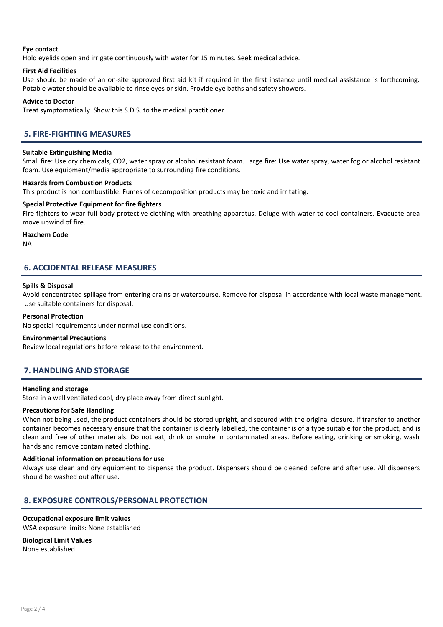### Eye contact

Hold eyelids open and irrigate continuously with water for 15 minutes. Seek medical advice.

#### First Aid Facilities

Use should be made of an on-site approved first aid kit if required in the first instance until medical assistance is forthcoming. Potable water should be available to rinse eyes or skin. Provide eye baths and safety showers.

#### Advice to Doctor

Treat symptomatically. Show this S.D.S. to the medical practitioner.

# 5. FIRE-FIGHTING MEASURES

#### Suitable Extinguishing Media

Small fire: Use dry chemicals, CO2, water spray or alcohol resistant foam. Large fire: Use water spray, water fog or alcohol resistant foam. Use equipment/media appropriate to surrounding fire conditions.

#### Hazards from Combustion Products

This product is non combustible. Fumes of decomposition products may be toxic and irritating.

#### Special Protective Equipment for fire fighters

Fire fighters to wear full body protective clothing with breathing apparatus. Deluge with water to cool containers. Evacuate area move upwind of fire.

# Hazchem Code

NA

# 6. ACCIDENTAL RELEASE MEASURES

#### Spills & Disposal

Avoid concentrated spillage from entering drains or watercourse. Remove for disposal in accordance with local waste management. Use suitable containers for disposal.

#### Personal Protection

No special requirements under normal use conditions.

#### Environmental Precautions

Review local regulations before release to the environment.

# 7. HANDLING AND STORAGE

#### Handling and storage

Store in a well ventilated cool, dry place away from direct sunlight.

#### Precautions for Safe Handling

When not being used, the product containers should be stored upright, and secured with the original closure. If transfer to another container becomes necessary ensure that the container is clearly labelled, the container is of a type suitable for the product, and is clean and free of other materials. Do not eat, drink or smoke in contaminated areas. Before eating, drinking or smoking, wash hands and remove contaminated clothing.

#### Additional information on precautions for use

Always use clean and dry equipment to dispense the product. Dispensers should be cleaned before and after use. All dispensers should be washed out after use.

# 8. EXPOSURE CONTROLS/PERSONAL PROTECTION

#### Occupational exposure limit values WSA exposure limits: None established

Biological Limit Values

None established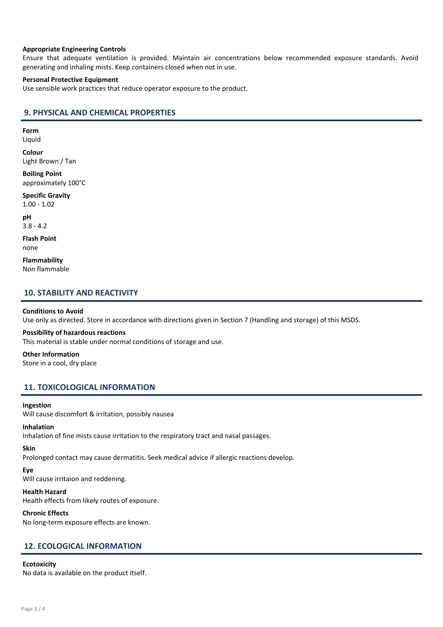#### Appropriate Engineering Controls

Ensure that adequate ventilation is provided. Maintain air concentrations below recommended exposure standards. Avoid generating and inhaling mists. Keep containers closed when not in use.

#### Personal Protective Equipment

Use sensible work practices that reduce operator exposure to the product.

# 9. PHYSICAL AND CHEMICAL PROPERTIES

Form

Liquid

Colour Light Brown / Tan

Boiling Point approximately 100°C

Specific Gravity 1.00 - 1.02

pH 3.8 - 4.2

Flash Point none

Flammability Non flammable

# 10. STABILITY AND REACTIVITY

#### Conditions to Avoid

Use only as directed. Store in accordance with directions given in Section 7 (Handling and storage) of this MSDS.

#### Possibility of hazardous reactions

This material is stable under normal conditions of storage and use.

# Other Information

Store in a cool, dry place

# 11. TOXICOLOGICAL INFORMATION

#### Ingestion

Will cause discomfort & irritation, possibly nausea

## Inhalation

Inhalation of fine mists cause irritation to the respiratory tract and nasal passages.

# Skin

Prolonged contact may cause dermatitis. Seek medical advice if allergic reactions develop.

# Eye

Will cause irritaion and reddening.

# Health Hazard

Health effects from likely routes of exposure.

# Chronic Effects

No long-term exposure effects are known.

# 12. ECOLOGICAL INFORMATION

# **Ecotoxicity**

No data is available on the product itself.